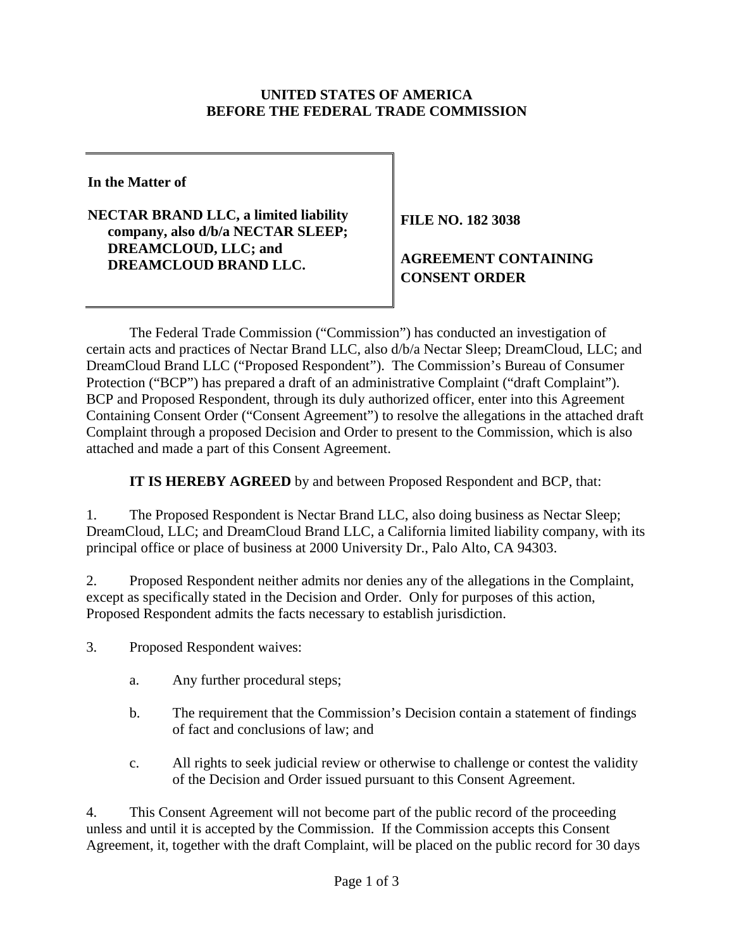#### **UNITED STATES OF AMERICA BEFORE THE FEDERAL TRADE COMMISSION**

**In the Matter of**

**NECTAR BRAND LLC, a limited liability company, also d/b/a NECTAR SLEEP; DREAMCLOUD, LLC; and DREAMCLOUD BRAND LLC.** 

**FILE NO. 182 3038** 

# **AGREEMENT CONTAINING CONSENT ORDER**

The Federal Trade Commission ("Commission") has conducted an investigation of certain acts and practices of Nectar Brand LLC, also d/b/a Nectar Sleep; DreamCloud, LLC; and DreamCloud Brand LLC ("Proposed Respondent"). The Commission's Bureau of Consumer Protection ("BCP") has prepared a draft of an administrative Complaint ("draft Complaint"). BCP and Proposed Respondent, through its duly authorized officer, enter into this Agreement Containing Consent Order ("Consent Agreement") to resolve the allegations in the attached draft Complaint through a proposed Decision and Order to present to the Commission, which is also attached and made a part of this Consent Agreement.

**IT IS HEREBY AGREED** by and between Proposed Respondent and BCP, that:

1. The Proposed Respondent is Nectar Brand LLC, also doing business as Nectar Sleep; DreamCloud, LLC; and DreamCloud Brand LLC, a California limited liability company, with its principal office or place of business at 2000 University Dr., Palo Alto, CA 94303.

2. Proposed Respondent neither admits nor denies any of the allegations in the Complaint, except as specifically stated in the Decision and Order. Only for purposes of this action, Proposed Respondent admits the facts necessary to establish jurisdiction.

3. Proposed Respondent waives:

- a. Any further procedural steps;
- b. The requirement that the Commission's Decision contain a statement of findings of fact and conclusions of law; and
- c. All rights to seek judicial review or otherwise to challenge or contest the validity of the Decision and Order issued pursuant to this Consent Agreement.

4. This Consent Agreement will not become part of the public record of the proceeding unless and until it is accepted by the Commission. If the Commission accepts this Consent Agreement, it, together with the draft Complaint, will be placed on the public record for 30 days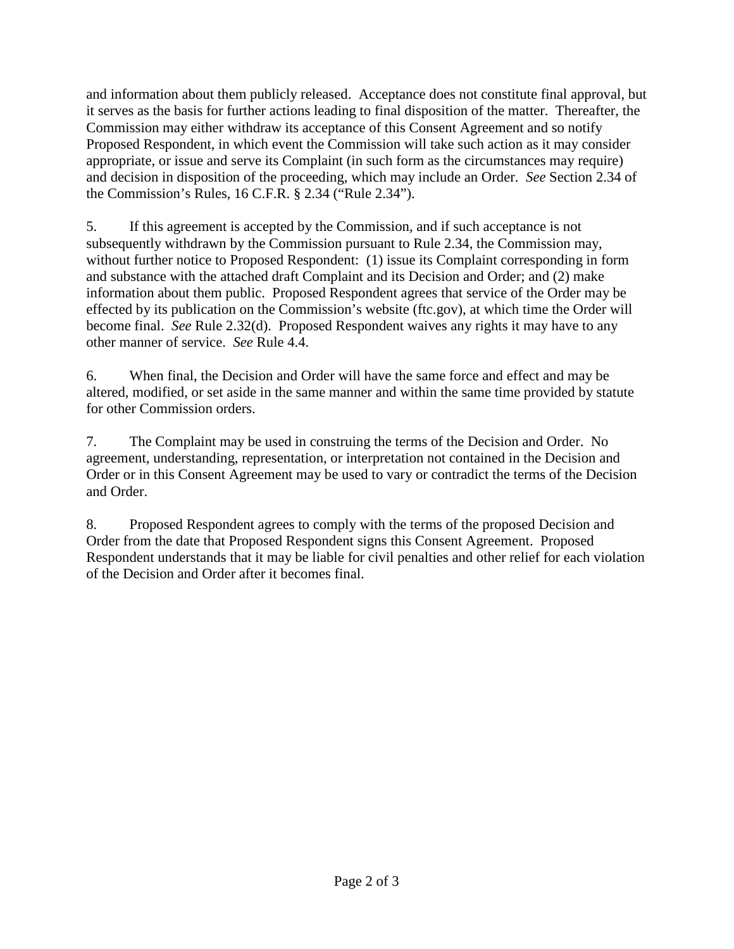and information about them publicly released. Acceptance does not constitute final approval, but it serves as the basis for further actions leading to final disposition of the matter. Thereafter, the Commission may either withdraw its acceptance of this Consent Agreement and so notify Proposed Respondent, in which event the Commission will take such action as it may consider appropriate, or issue and serve its Complaint (in such form as the circumstances may require) and decision in disposition of the proceeding, which may include an Order. *See* Section 2.34 of the Commission's Rules, 16 C.F.R. § 2.34 ("Rule 2.34").

5. If this agreement is accepted by the Commission, and if such acceptance is not subsequently withdrawn by the Commission pursuant to Rule 2.34, the Commission may, without further notice to Proposed Respondent: (1) issue its Complaint corresponding in form and substance with the attached draft Complaint and its Decision and Order; and (2) make information about them public. Proposed Respondent agrees that service of the Order may be effected by its publication on the Commission's website (ftc.gov), at which time the Order will become final. *See* Rule 2.32(d). Proposed Respondent waives any rights it may have to any other manner of service. *See* Rule 4.4.

6. When final, the Decision and Order will have the same force and effect and may be altered, modified, or set aside in the same manner and within the same time provided by statute for other Commission orders.

7. The Complaint may be used in construing the terms of the Decision and Order. No agreement, understanding, representation, or interpretation not contained in the Decision and Order or in this Consent Agreement may be used to vary or contradict the terms of the Decision and Order.

8. Proposed Respondent agrees to comply with the terms of the proposed Decision and Order from the date that Proposed Respondent signs this Consent Agreement. Proposed Respondent understands that it may be liable for civil penalties and other relief for each violation of the Decision and Order after it becomes final.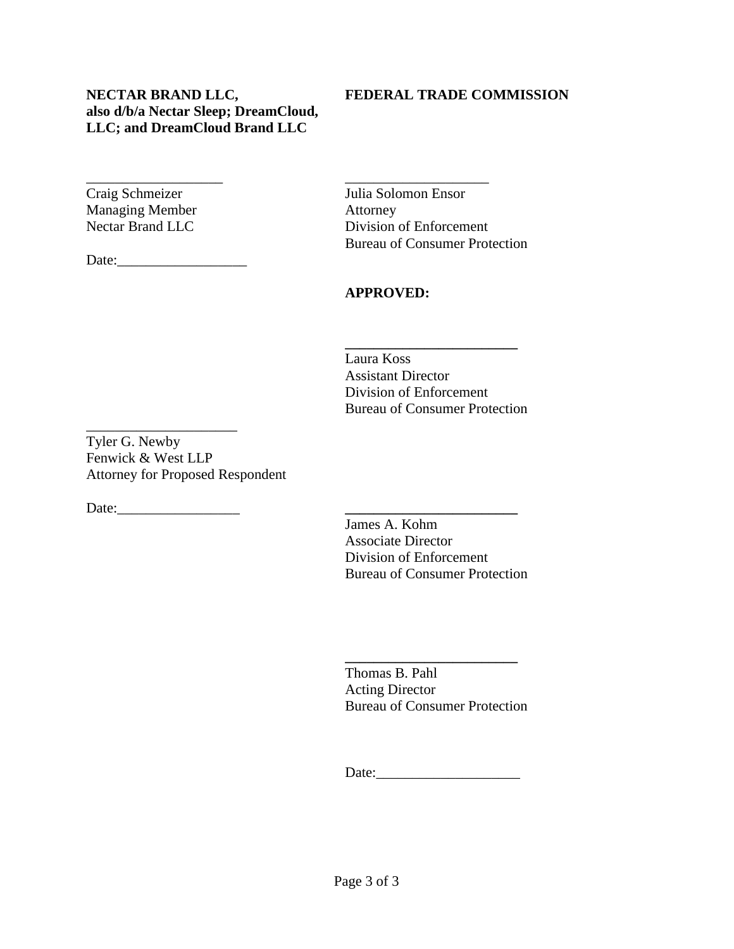**NECTAR BRAND LLC, FEDERAL TRADE COMMISSION also d/b/a Nectar Sleep; DreamCloud, LLC; and DreamCloud Brand LLC** 

\_\_\_\_\_\_\_\_\_\_\_\_\_\_\_\_\_\_\_ \_\_\_\_\_\_\_\_\_\_\_\_\_\_\_\_\_\_\_\_

Managing Member Attorney

Date:

Craig Schmeizer Julia Solomon Ensor Nectar Brand LLC Division of Enforcement Bureau of Consumer Protection

#### **APPROVED:**

 Laura Koss Assistant Director Division of Enforcement Bureau of Consumer Protection

**\_\_\_\_\_\_\_\_\_\_\_\_\_\_\_\_\_\_\_\_\_\_\_\_**

Tyler G. Newby Fenwick & West LLP Attorney for Proposed Respondent

\_\_\_\_\_\_\_\_\_\_\_\_\_\_\_\_\_\_\_\_\_

Date:\_\_\_\_\_\_\_\_\_\_\_\_\_\_\_\_\_ **\_\_\_\_\_\_\_\_\_\_\_\_\_\_\_\_\_\_\_\_\_\_\_\_**

 James A. Kohm Associate Director Division of Enforcement Bureau of Consumer Protection

 Thomas B. Pahl Acting Director Bureau of Consumer Protection

**\_\_\_\_\_\_\_\_\_\_\_\_\_\_\_\_\_\_\_\_\_\_\_\_**

Date: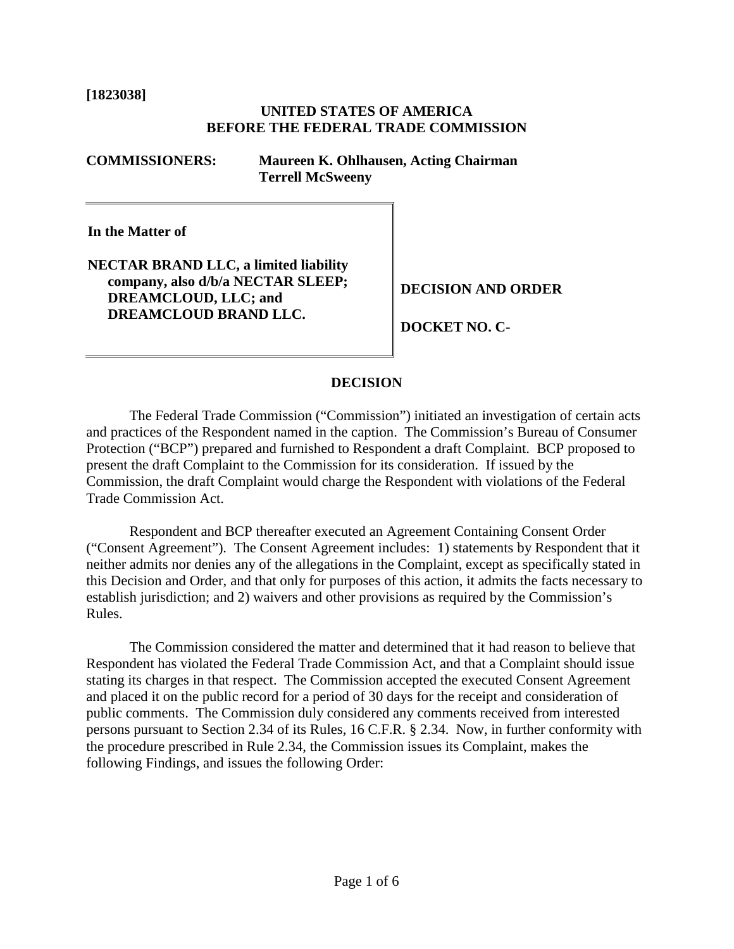**[1823038]** 

#### **UNITED STATES OF AMERICA BEFORE THE FEDERAL TRADE COMMISSION**

**COMMISSIONERS: Maureen K. Ohlhausen, Acting Chairman Terrell McSweeny**

**In the Matter of**

**NECTAR BRAND LLC, a limited liability company, also d/b/a NECTAR SLEEP; DECISION AND ORDER DREAMCLOUD, LLC; and DREAMCLOUD BRAND LLC.** DOCKET NO. C-

#### **DECISION**

The Federal Trade Commission ("Commission") initiated an investigation of certain acts and practices of the Respondent named in the caption. The Commission's Bureau of Consumer Protection ("BCP") prepared and furnished to Respondent a draft Complaint. BCP proposed to present the draft Complaint to the Commission for its consideration. If issued by the Commission, the draft Complaint would charge the Respondent with violations of the Federal Trade Commission Act.

Respondent and BCP thereafter executed an Agreement Containing Consent Order ("Consent Agreement"). The Consent Agreement includes: 1) statements by Respondent that it neither admits nor denies any of the allegations in the Complaint, except as specifically stated in this Decision and Order, and that only for purposes of this action, it admits the facts necessary to establish jurisdiction; and 2) waivers and other provisions as required by the Commission's Rules.

The Commission considered the matter and determined that it had reason to believe that Respondent has violated the Federal Trade Commission Act, and that a Complaint should issue stating its charges in that respect. The Commission accepted the executed Consent Agreement and placed it on the public record for a period of 30 days for the receipt and consideration of public comments. The Commission duly considered any comments received from interested persons pursuant to Section 2.34 of its Rules, 16 C.F.R. § 2.34. Now, in further conformity with the procedure prescribed in Rule 2.34, the Commission issues its Complaint, makes the following Findings, and issues the following Order: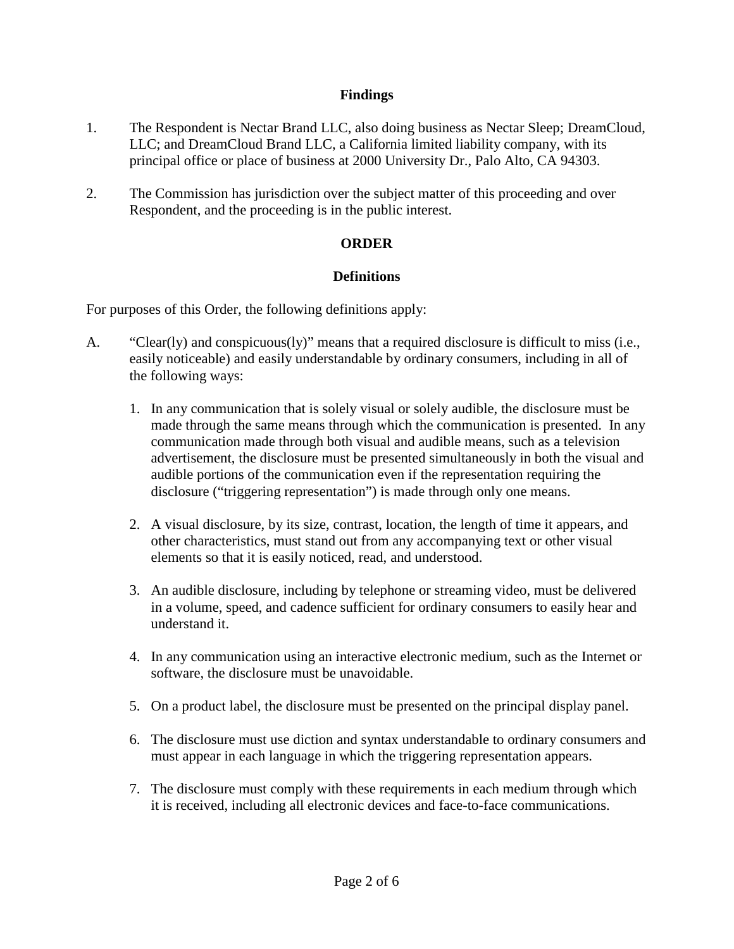#### **Findings**

- 1. The Respondent is Nectar Brand LLC, also doing business as Nectar Sleep; DreamCloud, LLC; and DreamCloud Brand LLC, a California limited liability company, with its principal office or place of business at 2000 University Dr., Palo Alto, CA 94303.
- 2. The Commission has jurisdiction over the subject matter of this proceeding and over Respondent, and the proceeding is in the public interest.

#### **ORDER**

#### **Definitions**

For purposes of this Order, the following definitions apply:

- A. "Clear(ly) and conspicuous(ly)" means that a required disclosure is difficult to miss (i.e., easily noticeable) and easily understandable by ordinary consumers, including in all of the following ways:
	- 1. In any communication that is solely visual or solely audible, the disclosure must be made through the same means through which the communication is presented. In any communication made through both visual and audible means, such as a television advertisement, the disclosure must be presented simultaneously in both the visual and audible portions of the communication even if the representation requiring the disclosure ("triggering representation") is made through only one means.
	- 2. A visual disclosure, by its size, contrast, location, the length of time it appears, and other characteristics, must stand out from any accompanying text or other visual elements so that it is easily noticed, read, and understood.
	- 3. An audible disclosure, including by telephone or streaming video, must be delivered in a volume, speed, and cadence sufficient for ordinary consumers to easily hear and understand it.
	- 4. In any communication using an interactive electronic medium, such as the Internet or software, the disclosure must be unavoidable.
	- 5. On a product label, the disclosure must be presented on the principal display panel.
	- 6. The disclosure must use diction and syntax understandable to ordinary consumers and must appear in each language in which the triggering representation appears.
	- 7. The disclosure must comply with these requirements in each medium through which it is received, including all electronic devices and face-to-face communications.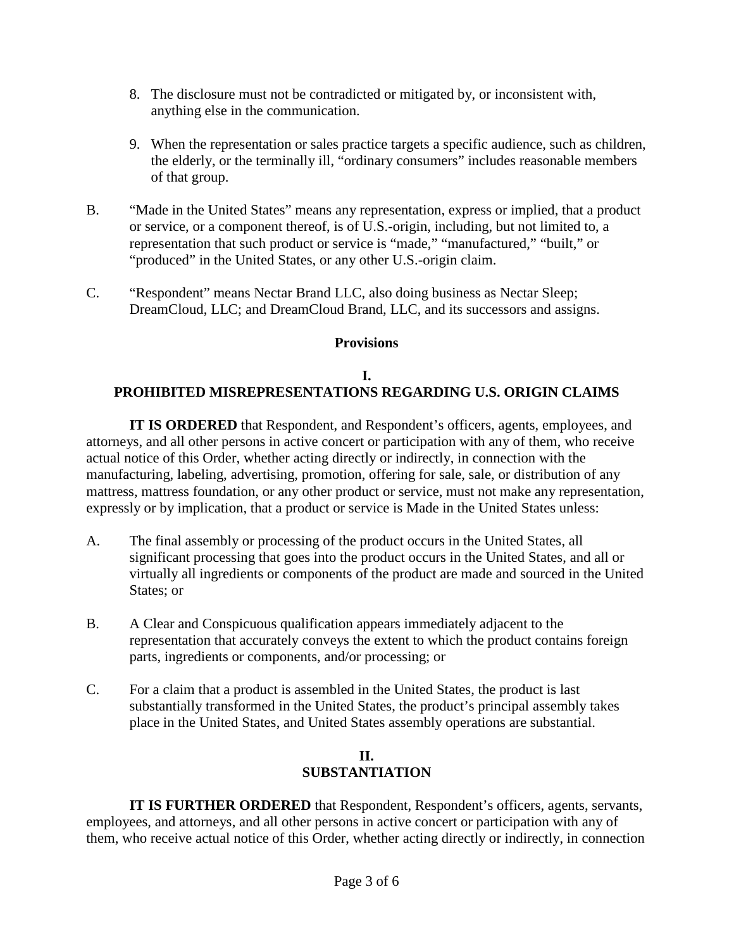- 8. The disclosure must not be contradicted or mitigated by, or inconsistent with, anything else in the communication.
- 9. When the representation or sales practice targets a specific audience, such as children, the elderly, or the terminally ill, "ordinary consumers" includes reasonable members of that group.
- B. "Made in the United States" means any representation, express or implied, that a product or service, or a component thereof, is of U.S.-origin, including, but not limited to, a representation that such product or service is "made," "manufactured," "built," or "produced" in the United States, or any other U.S.-origin claim.
- C. "Respondent" means Nectar Brand LLC, also doing business as Nectar Sleep; DreamCloud, LLC; and DreamCloud Brand, LLC, and its successors and assigns.

### **Provisions**

## **I. PROHIBITED MISREPRESENTATIONS REGARDING U.S. ORIGIN CLAIMS**

**IT IS ORDERED** that Respondent, and Respondent's officers, agents, employees, and attorneys, and all other persons in active concert or participation with any of them, who receive actual notice of this Order, whether acting directly or indirectly, in connection with the manufacturing, labeling, advertising, promotion, offering for sale, sale, or distribution of any mattress, mattress foundation, or any other product or service, must not make any representation, expressly or by implication, that a product or service is Made in the United States unless:

- A. The final assembly or processing of the product occurs in the United States, all significant processing that goes into the product occurs in the United States, and all or virtually all ingredients or components of the product are made and sourced in the United States; or
- B. A Clear and Conspicuous qualification appears immediately adjacent to the representation that accurately conveys the extent to which the product contains foreign parts, ingredients or components, and/or processing; or
- C. For a claim that a product is assembled in the United States, the product is last substantially transformed in the United States, the product's principal assembly takes place in the United States, and United States assembly operations are substantial.

## **II. SUBSTANTIATION**

**IT IS FURTHER ORDERED** that Respondent, Respondent's officers, agents, servants, employees, and attorneys, and all other persons in active concert or participation with any of them, who receive actual notice of this Order, whether acting directly or indirectly, in connection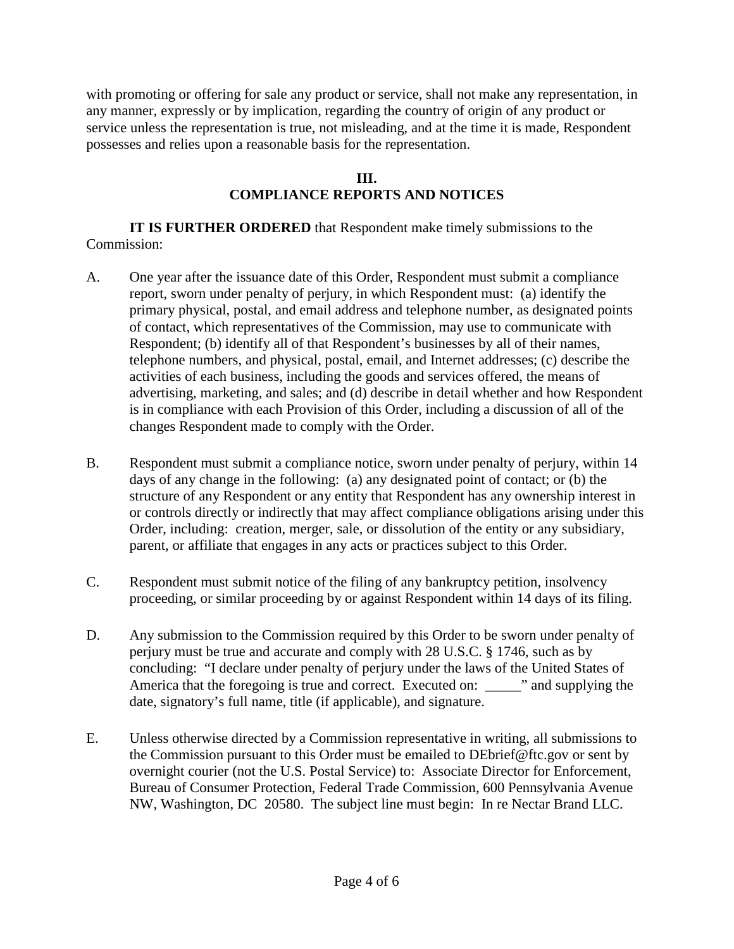with promoting or offering for sale any product or service, shall not make any representation, in any manner, expressly or by implication, regarding the country of origin of any product or service unless the representation is true, not misleading, and at the time it is made, Respondent possesses and relies upon a reasonable basis for the representation.

#### **III.**

# **COMPLIANCE REPORTS AND NOTICES**

**IT IS FURTHER ORDERED** that Respondent make timely submissions to the Commission:

- A. One year after the issuance date of this Order, Respondent must submit a compliance report, sworn under penalty of perjury, in which Respondent must: (a) identify the primary physical, postal, and email address and telephone number, as designated points of contact, which representatives of the Commission, may use to communicate with Respondent; (b) identify all of that Respondent's businesses by all of their names, telephone numbers, and physical, postal, email, and Internet addresses; (c) describe the activities of each business, including the goods and services offered, the means of advertising, marketing, and sales; and (d) describe in detail whether and how Respondent is in compliance with each Provision of this Order, including a discussion of all of the changes Respondent made to comply with the Order.
- B. Respondent must submit a compliance notice, sworn under penalty of perjury, within 14 days of any change in the following: (a) any designated point of contact; or (b) the structure of any Respondent or any entity that Respondent has any ownership interest in or controls directly or indirectly that may affect compliance obligations arising under this Order, including: creation, merger, sale, or dissolution of the entity or any subsidiary, parent, or affiliate that engages in any acts or practices subject to this Order.
- C. Respondent must submit notice of the filing of any bankruptcy petition, insolvency proceeding, or similar proceeding by or against Respondent within 14 days of its filing.
- D. Any submission to the Commission required by this Order to be sworn under penalty of perjury must be true and accurate and comply with 28 U.S.C. § 1746, such as by concluding: "I declare under penalty of perjury under the laws of the United States of America that the foregoing is true and correct. Executed on: we are not supplying the date, signatory's full name, title (if applicable), and signature.
- E. Unless otherwise directed by a Commission representative in writing, all submissions to the Commission pursuant to this Order must be emailed to DEbrief@ftc.gov or sent by overnight courier (not the U.S. Postal Service) to: Associate Director for Enforcement, Bureau of Consumer Protection, Federal Trade Commission, 600 Pennsylvania Avenue NW, Washington, DC 20580. The subject line must begin: In re Nectar Brand LLC.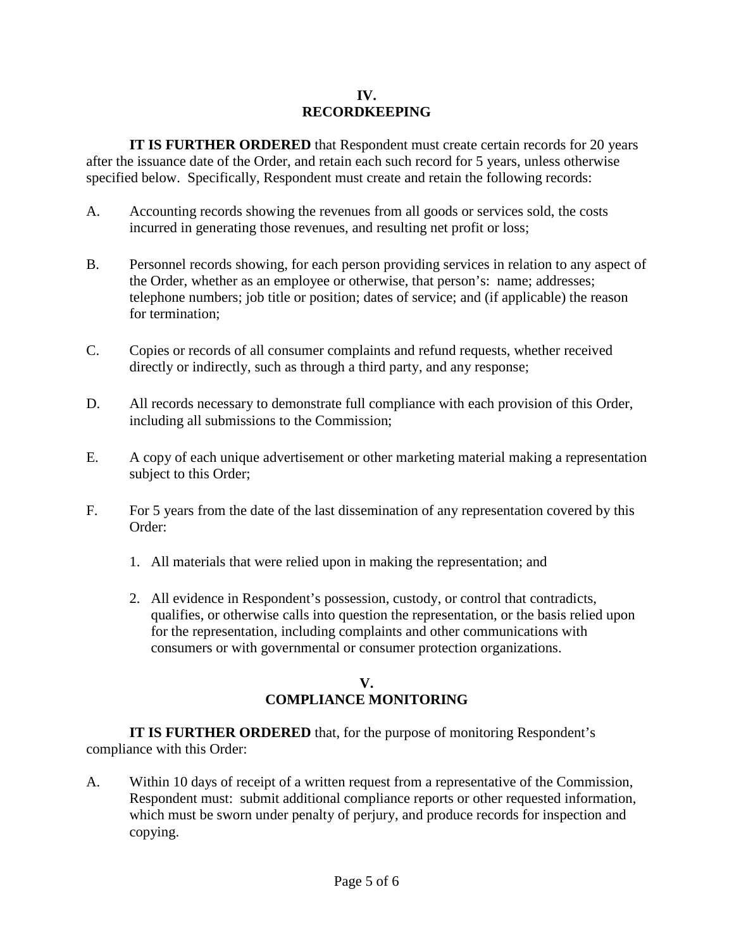#### **IV. RECORDKEEPING**

**IT IS FURTHER ORDERED** that Respondent must create certain records for 20 years after the issuance date of the Order, and retain each such record for 5 years, unless otherwise specified below. Specifically, Respondent must create and retain the following records:

- A. Accounting records showing the revenues from all goods or services sold, the costs incurred in generating those revenues, and resulting net profit or loss;
- B. Personnel records showing, for each person providing services in relation to any aspect of the Order, whether as an employee or otherwise, that person's: name; addresses; telephone numbers; job title or position; dates of service; and (if applicable) the reason for termination;
- C. Copies or records of all consumer complaints and refund requests, whether received directly or indirectly, such as through a third party, and any response;
- D. All records necessary to demonstrate full compliance with each provision of this Order, including all submissions to the Commission;
- E. A copy of each unique advertisement or other marketing material making a representation subject to this Order;
- F. For 5 years from the date of the last dissemination of any representation covered by this Order:
	- 1. All materials that were relied upon in making the representation; and
	- 2. All evidence in Respondent's possession, custody, or control that contradicts, qualifies, or otherwise calls into question the representation, or the basis relied upon for the representation, including complaints and other communications with consumers or with governmental or consumer protection organizations.

# **V. COMPLIANCE MONITORING**

**IT IS FURTHER ORDERED** that, for the purpose of monitoring Respondent's compliance with this Order:

A. Within 10 days of receipt of a written request from a representative of the Commission, Respondent must: submit additional compliance reports or other requested information, which must be sworn under penalty of perjury, and produce records for inspection and copying.